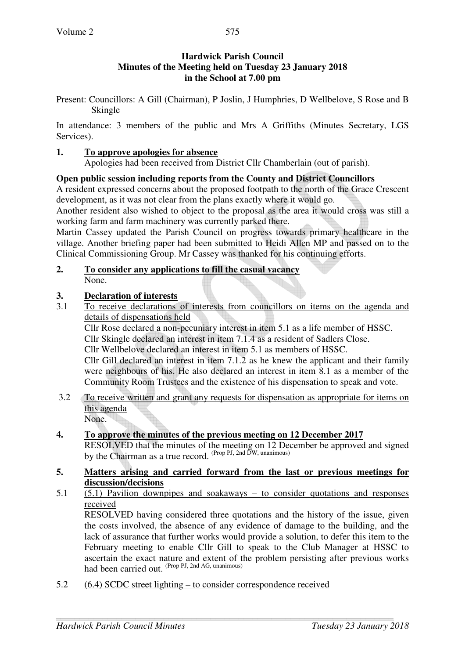## **Hardwick Parish Council Minutes of the Meeting held on Tuesday 23 January 2018 in the School at 7.00 pm**

Present: Councillors: A Gill (Chairman), P Joslin, J Humphries, D Wellbelove, S Rose and B Skingle

In attendance: 3 members of the public and Mrs A Griffiths (Minutes Secretary, LGS Services).

#### **1. To approve apologies for absence**

Apologies had been received from District Cllr Chamberlain (out of parish).

#### **Open public session including reports from the County and District Councillors**

A resident expressed concerns about the proposed footpath to the north of the Grace Crescent development, as it was not clear from the plans exactly where it would go.

Another resident also wished to object to the proposal as the area it would cross was still a working farm and farm machinery was currently parked there.

Martin Cassey updated the Parish Council on progress towards primary healthcare in the village. Another briefing paper had been submitted to Heidi Allen MP and passed on to the Clinical Commissioning Group. Mr Cassey was thanked for his continuing efforts.

#### **2. To consider any applications to fill the casual vacancy** None.

#### **3. Declaration of interests**

3.1 To receive declarations of interests from councillors on items on the agenda and details of dispensations held

Cllr Rose declared a non-pecuniary interest in item 5.1 as a life member of HSSC. Cllr Skingle declared an interest in item 7.1.4 as a resident of Sadlers Close.

Cllr Wellbelove declared an interest in item 5.1 as members of HSSC.

Cllr Gill declared an interest in item 7.1.2 as he knew the applicant and their family were neighbours of his. He also declared an interest in item 8.1 as a member of the Community Room Trustees and the existence of his dispensation to speak and vote.

3.2 To receive written and grant any requests for dispensation as appropriate for items on this agenda None.

## **4. To approve the minutes of the previous meeting on 12 December 2017**

RESOLVED that the minutes of the meeting on 12 December be approved and signed by the Chairman as a true record. <sup>(Prop PJ, 2nd DW, unanimous)</sup>

#### **5. Matters arising and carried forward from the last or previous meetings for discussion/decisions**

5.1 (5.1) Pavilion downpipes and soakaways – to consider quotations and responses received

RESOLVED having considered three quotations and the history of the issue, given the costs involved, the absence of any evidence of damage to the building, and the lack of assurance that further works would provide a solution, to defer this item to the February meeting to enable Cllr Gill to speak to the Club Manager at HSSC to ascertain the exact nature and extent of the problem persisting after previous works had been carried out. (Prop PJ, 2nd AG, unanimous)

5.2 (6.4) SCDC street lighting – to consider correspondence received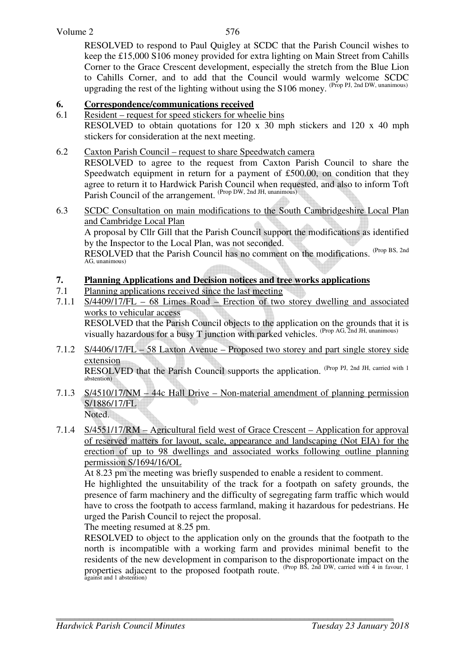#### Volume 2

576

RESOLVED to respond to Paul Quigley at SCDC that the Parish Council wishes to keep the £15,000 S106 money provided for extra lighting on Main Street from Cahills Corner to the Grace Crescent development, especially the stretch from the Blue Lion to Cahills Corner, and to add that the Council would warmly welcome SCDC upgrading the rest of the lighting without using the S106 money. (Prop PJ, 2nd DW, unanimous)

## **6. Correspondence/communications received**

- 6.1 Resident request for speed stickers for wheelie bins RESOLVED to obtain quotations for 120 x 30 mph stickers and 120 x 40 mph stickers for consideration at the next meeting.
- 6.2 Caxton Parish Council request to share Speedwatch camera

RESOLVED to agree to the request from Caxton Parish Council to share the Speedwatch equipment in return for a payment of £500.00, on condition that they agree to return it to Hardwick Parish Council when requested, and also to inform Toft Parish Council of the arrangement. (Prop DW, 2nd JH, unanimous)

6.3 SCDC Consultation on main modifications to the South Cambridgeshire Local Plan and Cambridge Local Plan

A proposal by Cllr Gill that the Parish Council support the modifications as identified by the Inspector to the Local Plan, was not seconded.

RESOLVED that the Parish Council has no comment on the modifications. (Prop BS, 2nd AG, unanimous)

# **7. Planning Applications and Decision notices and tree works applications**

- 7.1 Planning applications received since the last meeting
- 7.1.1 S/4409/17/FL 68 Limes Road Erection of two storey dwelling and associated works to vehicular access RESOLVED that the Parish Council objects to the application on the grounds that it is visually hazardous for a busy T junction with parked vehicles.  $^{(Prop\ AG, 2nd\ JH, unanimous)}$
- 7.1.2 S/4406/17/FL 58 Laxton Avenue Proposed two storey and part single storey side extension RESOLVED that the Parish Council supports the application. (Prop PJ, 2nd JH, carried with 1) abstention)
- 7.1.3 S/4510/17/NM 44c Hall Drive Non-material amendment of planning permission S/1886/17/FL Noted.
- 7.1.4 S/4551/17/RM Agricultural field west of Grace Crescent Application for approval of reserved matters for layout, scale, appearance and landscaping (Not EIA) for the erection of up to 98 dwellings and associated works following outline planning permission S/1694/16/OL

At 8.23 pm the meeting was briefly suspended to enable a resident to comment.

 He highlighted the unsuitability of the track for a footpath on safety grounds, the presence of farm machinery and the difficulty of segregating farm traffic which would have to cross the footpath to access farmland, making it hazardous for pedestrians. He urged the Parish Council to reject the proposal.

The meeting resumed at 8.25 pm.

 RESOLVED to object to the application only on the grounds that the footpath to the north is incompatible with a working farm and provides minimal benefit to the residents of the new development in comparison to the disproportionate impact on the properties adjacent to the proposed footpath route. (Prop BS, 2nd DW, carried with 4 in favour, 1 against and 1 abstention)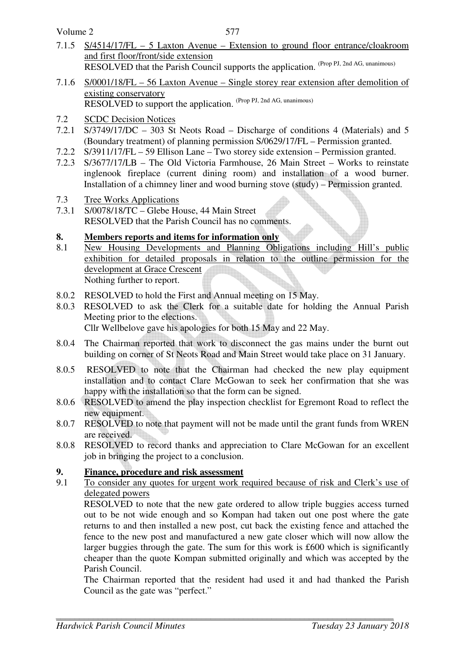Volume 2

- 7.1.5 S/4514/17/FL 5 Laxton Avenue Extension to ground floor entrance/cloakroom and first floor/front/side extension RESOLVED that the Parish Council supports the application. (Prop PJ, 2nd AG, unanimous)
- 7.1.6 S/0001/18/FL 56 Laxton Avenue Single storey rear extension after demolition of existing conservatory RESOLVED to support the application. (Prop PJ, 2nd AG, unanimous)
- 7.2 SCDC Decision Notices
- 7.2.1 S/3749/17/DC 303 St Neots Road Discharge of conditions 4 (Materials) and 5 (Boundary treatment) of planning permission S/0629/17/FL – Permission granted.
- 7.2.2 S/3911/17/FL 59 Ellison Lane Two storey side extension Permission granted.
- 7.2.3 S/3677/17/LB The Old Victoria Farmhouse, 26 Main Street Works to reinstate inglenook fireplace (current dining room) and installation of a wood burner. Installation of a chimney liner and wood burning stove (study) – Permission granted.
- 7.3 Tree Works Applications<br>7.3.1 S/0078/18/TC Glebe Ho
- $S/0078/18/TC G$ lebe House, 44 Main Street RESOLVED that the Parish Council has no comments.

# **8. Members reports and items for information only**

- 8.1 New Housing Developments and Planning Obligations including Hill's public exhibition for detailed proposals in relation to the outline permission for the development at Grace Crescent Nothing further to report.
- 8.0.2 RESOLVED to hold the First and Annual meeting on 15 May.
- 8.0.3 RESOLVED to ask the Clerk for a suitable date for holding the Annual Parish Meeting prior to the elections. Cllr Wellbelove gave his apologies for both 15 May and 22 May.
- 8.0.4 The Chairman reported that work to disconnect the gas mains under the burnt out building on corner of St Neots Road and Main Street would take place on 31 January.
- 8.0.5 RESOLVED to note that the Chairman had checked the new play equipment installation and to contact Clare McGowan to seek her confirmation that she was happy with the installation so that the form can be signed.
- 8.0.6 RESOLVED to amend the play inspection checklist for Egremont Road to reflect the new equipment.
- 8.0.7 RESOLVED to note that payment will not be made until the grant funds from WREN are received.
- 8.0.8 RESOLVED to record thanks and appreciation to Clare McGowan for an excellent job in bringing the project to a conclusion.

# **9. Finance, procedure and risk assessment**<br>**9.1** To consider any quotes for urgent work re

9.1 To consider any quotes for urgent work required because of risk and Clerk's use of delegated powers

RESOLVED to note that the new gate ordered to allow triple buggies access turned out to be not wide enough and so Kompan had taken out one post where the gate returns to and then installed a new post, cut back the existing fence and attached the fence to the new post and manufactured a new gate closer which will now allow the larger buggies through the gate. The sum for this work is £600 which is significantly cheaper than the quote Kompan submitted originally and which was accepted by the Parish Council.

 The Chairman reported that the resident had used it and had thanked the Parish Council as the gate was "perfect."